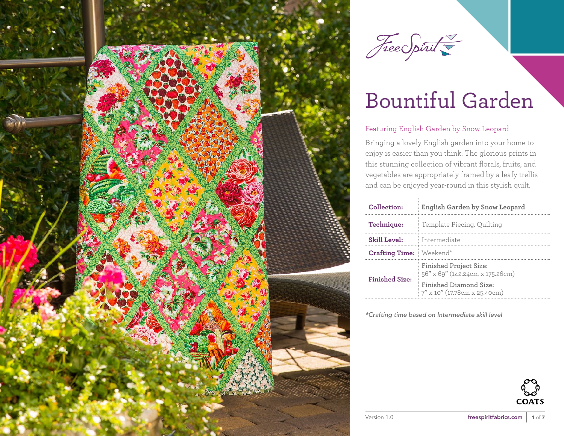

Free Spirit

# Bountiful Garden

#### Featuring English Garden by Snow Leopard

Bringing a lovely English garden into your home to enjoy is easier than you think. The glorious prints in this stunning collection of vibrant florals, fruits, and vegetables are appropriately framed by a leafy trellis and can be enjoyed year-round in this stylish quilt.

| Collection:           | English Garden by Snow Leopard                                   |  |  |
|-----------------------|------------------------------------------------------------------|--|--|
| Technique:            | Template Piecing, Quilting                                       |  |  |
| <b>Skill Level:</b>   | Intermediate                                                     |  |  |
| <b>Crafting Time:</b> | Weekend*                                                         |  |  |
| <b>Finished Size:</b> | <b>Finished Project Size:</b><br>56" x 69" (142.24cm x 175.26cm) |  |  |
|                       | Finished Diamond Size:<br>7" x 10" (17.78cm x 25.40cm)           |  |  |

*\*Crafting time based on Intermediate skill level*

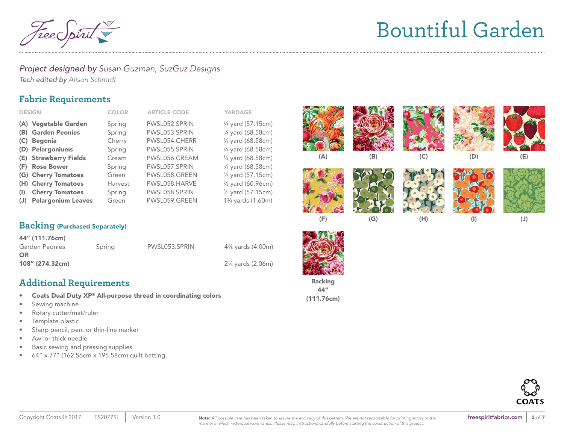

#### *Project designed by Susan Guzman, SuzGuz Designs*

*Tech edited by Alison Schmidt* 

# **Fabric Requirements**

| <b>DESIGN</b>                    | <b>COLOR</b> | <b>ARTICLE CODE</b> | <b>YARDAGE</b>                              |
|----------------------------------|--------------|---------------------|---------------------------------------------|
| (A) Vegetable Garden             | Spring       | PWSL052.SPRIN       | % yard (57.15cm)                            |
| (B) Garden Peonies               | Spring       | PWSL053.SPRIN       | 3/4 yard (68.58cm)                          |
| <b>Begonia</b><br>(C)            | Cherry       | PWSL054.CHERR       | 3/4 yard (68.58cm)                          |
| (D) Pelargoniums                 | Spring       | PWSL055.SPRIN       | 3/4 yard (68.58cm)                          |
| (E) Strawberry Fields            | Cream        | PWSL056.CREAM       | 3/4 yard (68.58cm)                          |
| <b>Rose Bower</b><br>(F)         | Spring       | PWSL057.SPRIN       | 3/4 yard (68.58cm)                          |
| (G) Cherry Tomatoes              | Green        | PWSL058.GREEN       | % yard (57.15cm)                            |
| (H) Cherry Tomatoes              | Harvest      | PWSL058.HARVE       | 3/ <sub>3</sub> yard (60.96cm)              |
| <b>Cherry Tomatoes</b><br>$($    | Spring       | PWSL058.SPRIN       | % yard (57.15cm)                            |
| <b>Pelargonium Leaves</b><br>(J) | Green        | PWSL059.GREEN       | 1 <sup>3</sup> / <sub>4</sub> yards (1.60m) |



| 44" (111.76cm)  |        |               |                                             |
|-----------------|--------|---------------|---------------------------------------------|
| Garden Peonies  | Spring | PWSL053.SPRIN | 4 <sup>3</sup> / <sub>8</sub> yards (4.00m) |
| OR              |        |               |                                             |
| 108" (274.32cm) |        |               | 2¼ yards (2.06m)                            |
|                 |        |               |                                             |

# **Additional Requirements**

- Coats Dual Duty XP® All-purpose thread in coordinating colors
- Sewing machine
- Rotary cutter/mat/ruler
- Template plastic
- Sharp pencil, pen, or thin-line marker
- Awl or thick needle
- Basic sewing and pressing supplies
- 64" x 77" (162.56cm x 195.58cm) quilt batting









(F) (G) (H) (I) (J)



Backing 44" (111.76cm)

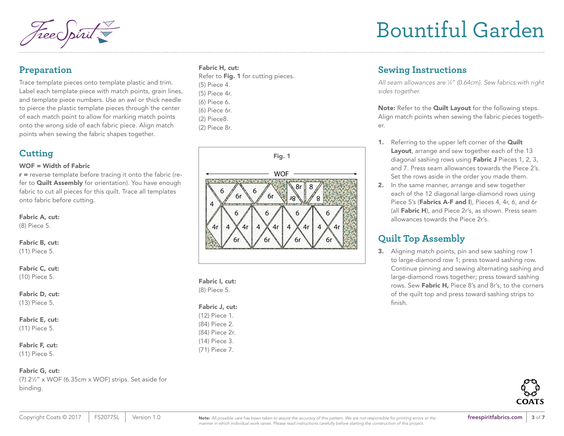### **Preparation**

Trace template pieces onto template plastic and trim. Label each template piece with match points, grain lines, and template piece numbers. Use an awl or thick needle to pierce the plastic template pieces through the center of each match point to allow for marking match points onto the wrong side of each fabric piece. Align match points when sewing the fabric shapes together.

# **Cutting**

#### WOF = Width of Fabric

 $r$  = reverse template before tracing it onto the fabric (refer to **Quilt Assembly** for orientation). You have enough fabric to cut all pieces for this quilt. Trace all templates onto fabric before cutting.

#### Fabric A, cut:

(8) Piece 5.

Fabric B, cut: (11) Piece 5.

#### Fabric C, cut:

(10) Piece 5.

#### Fabric D, cut:

(13) Piece 5.

Fabric E, cut:

(11) Piece 5.

#### Fabric F, cut:

(11) Piece 5.

#### Fabric G, cut:

(7) 21 ⁄2" x WOF (6.35cm x WOF) strips. Set aside for binding.

#### Fabric H, cut:

| Refer to <b>Fig. 1</b> for cutting pieces. |
|--------------------------------------------|
| (5) Piece 4.                               |
| (5) Piece 4r.                              |
| (6) Piece 6.                               |
| (6) Piece 6r.                              |
| (2) Piece8.                                |
| (2) Piece 8r.                              |
|                                            |



Fabric I, cut: (8) Piece 5.

| <b>Fabric J, cut:</b> |  |  |  |  |
|-----------------------|--|--|--|--|
| (12) Piece 1.         |  |  |  |  |
| (84) Piece 2.         |  |  |  |  |
| (84) Piece 2r.        |  |  |  |  |
| (14) Piece 3.         |  |  |  |  |
| $(71)$ Piece 7.       |  |  |  |  |

# Bountiful Garden

# **Sewing Instructions**

*All seam allowances are 1 ⁄4" (0.64cm). Sew fabrics with right sides together.*

Note: Refer to the Quilt Layout for the following steps. Align match points when sewing the fabric pieces together.

- 1. Referring to the upper left corner of the **Quilt** Layout, arrange and sew together each of the 13 diagonal sashing rows using Fabric J Pieces 1, 2, 3, and 7. Press seam allowances towards the Piece 2's. Set the rows aside in the order you made them.
- 2. In the same manner, arrange and sew together each of the 12 diagonal large-diamond rows using Piece 5's (Fabrics A-F and I), Pieces 4, 4r, 6, and 6r (all Fabric H), and Piece 2r's, as shown. Press seam allowances towards the Piece 2r's.

# **Quilt Top Assembly**

3. Aligning match points, pin and sew sashing row 1 to large-diamond row 1; press toward sashing row. Continue pinning and sewing alternating sashing and large-diamond rows together; press toward sashing rows. Sew Fabric H, Piece 8's and 8r's, to the corners of the quilt top and press toward sashing strips to finish.

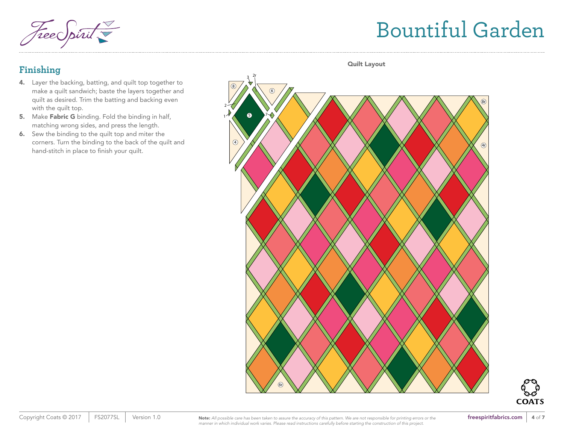Free Spirit

# Bountiful Garden

## **Finishing**

- 4. Layer the backing, batting, and quilt top together to make a quilt sandwich; baste the layers together and quilt as desired. Trim the batting and backing even with the quilt top.
- 5. Make Fabric G binding. Fold the binding in half, matching wrong sides, and press the length.
- 6. Sew the binding to the quilt top and miter the corners. Turn the binding to the back of the quilt and hand-stitch in place to finish your quilt.



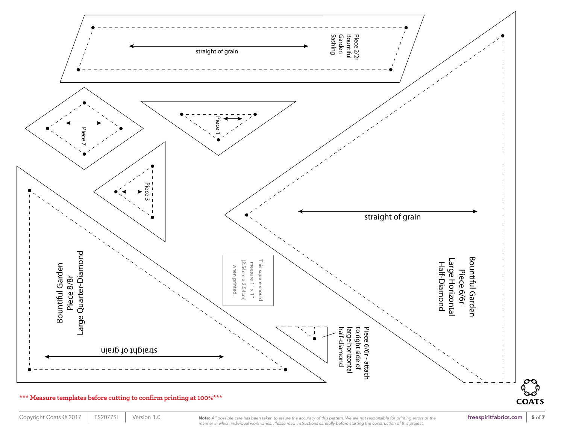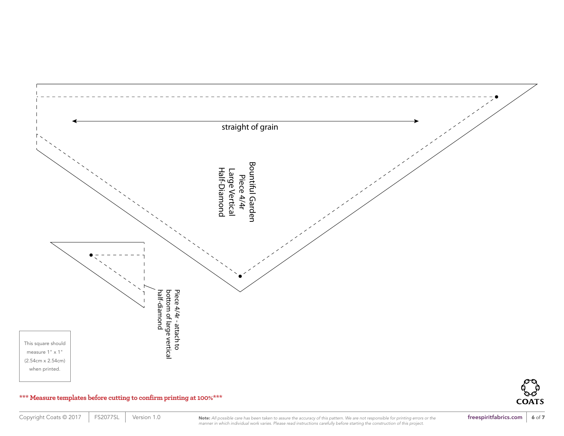

#### **\*\*\* Measure templates before cutting to confirm printing at 100%\*\*\***

**COATS**